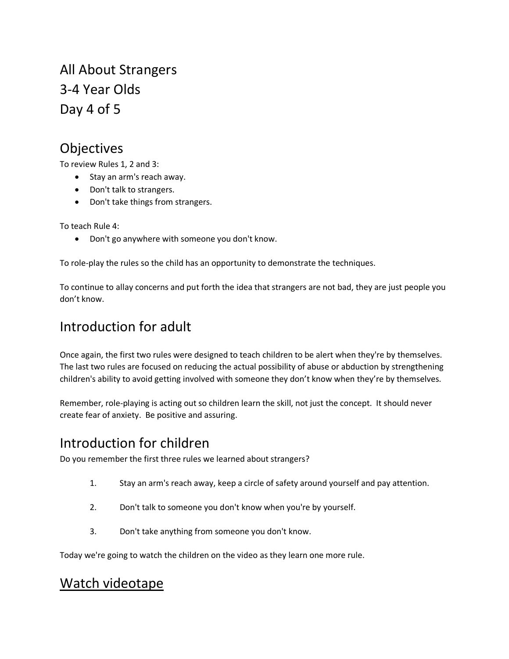All About Strangers 3-4 Year Olds Day 4 of 5

# Objectives

To review Rules 1, 2 and 3:

- Stay an arm's reach away.
- Don't talk to strangers.
- Don't take things from strangers.

To teach Rule 4:

• Don't go anywhere with someone you don't know.

To role-play the rules so the child has an opportunity to demonstrate the techniques.

To continue to allay concerns and put forth the idea that strangers are not bad, they are just people you don't know.

# Introduction for adult

Once again, the first two rules were designed to teach children to be alert when they're by themselves. The last two rules are focused on reducing the actual possibility of abuse or abduction by strengthening children's ability to avoid getting involved with someone they don't know when they're by themselves.

Remember, role-playing is acting out so children learn the skill, not just the concept. It should never create fear of anxiety. Be positive and assuring.

# Introduction for children

Do you remember the first three rules we learned about strangers?

- 1. Stay an arm's reach away, keep a circle of safety around yourself and pay attention.
- 2. Don't talk to someone you don't know when you're by yourself.
- 3. Don't take anything from someone you don't know.

Today we're going to watch the children on the video as they learn one more rule.

### Watch videotape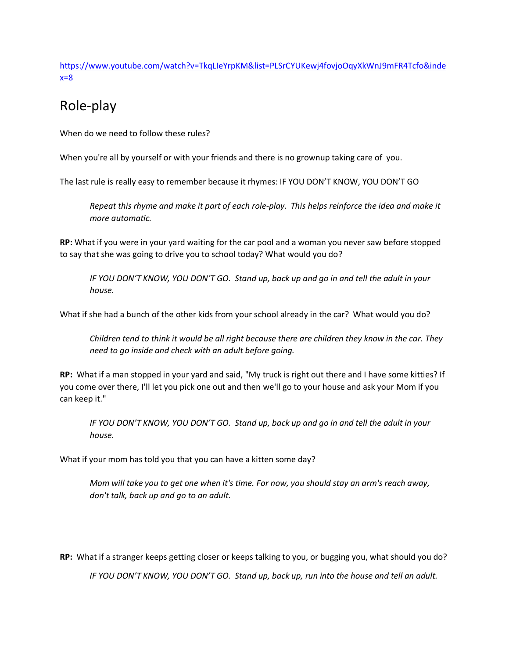[https://www.youtube.com/watch?v=TkqLIeYrpKM&list=PLSrCYUKewj4fovjoOqyXkWnJ9mFR4Tcfo&inde](https://www.youtube.com/watch?v=TkqLIeYrpKM&list=PLSrCYUKewj4fovjoOqyXkWnJ9mFR4Tcfo&index=8) [x=8](https://www.youtube.com/watch?v=TkqLIeYrpKM&list=PLSrCYUKewj4fovjoOqyXkWnJ9mFR4Tcfo&index=8)

# Role-play

When do we need to follow these rules?

When you're all by yourself or with your friends and there is no grownup taking care of you.

The last rule is really easy to remember because it rhymes: IF YOU DON'T KNOW, YOU DON'T GO

*Repeat this rhyme and make it part of each role-play. This helps reinforce the idea and make it more automatic.* 

**RP:** What if you were in your yard waiting for the car pool and a woman you never saw before stopped to say that she was going to drive you to school today? What would you do?

*IF YOU DON'T KNOW, YOU DON'T GO. Stand up, back up and go in and tell the adult in your house.* 

What if she had a bunch of the other kids from your school already in the car? What would you do?

*Children tend to think it would be all right because there are children they know in the car. They need to go inside and check with an adult before going.*

**RP:** What if a man stopped in your yard and said, "My truck is right out there and I have some kitties? If you come over there, I'll let you pick one out and then we'll go to your house and ask your Mom if you can keep it."

*IF YOU DON'T KNOW, YOU DON'T GO. Stand up, back up and go in and tell the adult in your house.* 

What if your mom has told you that you can have a kitten some day?

*Mom will take you to get one when it's time. For now, you should stay an arm's reach away, don't talk, back up and go to an adult.*

**RP:** What if a stranger keeps getting closer or keeps talking to you, or bugging you, what should you do?

*IF YOU DON'T KNOW, YOU DON'T GO. Stand up, back up, run into the house and tell an adult.*